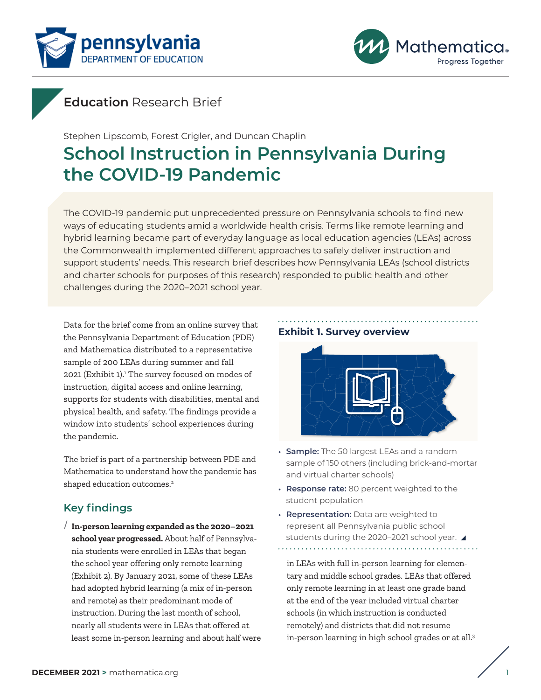<span id="page-0-0"></span>



## **Education** Research Brief

Stephen Lipscomb, Forest Crigler, and Duncan Chaplin

# **School Instruction in Pennsylvania During the COVID-19 Pandemic**

The COVID-19 pandemic put unprecedented pressure on Pennsylvania schools to find new ways of educating students amid a worldwide health crisis. Terms like remote learning and hybrid learning became part of everyday language as local education agencies (LEAs) across the Commonwealth implemented different approaches to safely deliver instruction and support students' needs. This research brief describes how Pennsylvania LEAs (school districts and charter schools for purposes of this research) responded to public health and other challenges during the 2020–2021 school year.

Data for the brief come from an online survey that the Pennsylvania Department of Education (PDE) and Mathematica distributed to a representative sample of 200 LEAs during summer and fall 202[1](#page-8-0) (Exhibit 1).<sup>1</sup> The survey focused on modes of instruction, digital access and online learning, supports for students with disabilities, mental and physical health, and safety. The findings provide a window into students' school experiences during the pandemic.

The brief is part of a partnership between PDE and Mathematica to understand how the pandemic has shaped education outcomes.<sup>[2](#page-8-0)</sup>

## **Key findings**

/ **In-person learning expanded as the 2020–2021 school year progressed.** About half of Pennsylvania students were enrolled in LEAs that began the school year offering only remote learning (Exhibit 2). By January 2021, some of these LEAs had adopted hybrid learning (a mix of in-person and remote) as their predominant mode of instruction. During the last month of school, nearly all students were in LEAs that offered at least some in-person learning and about half were

## **Exhibit 1. Survey overview**



- **Sample:** The 50 largest LEAs and a random sample of 150 others (including brick-and-mortar and virtual charter schools)
- **Response rate:** 80 percent weighted to the student population
- **Representation:** Data are weighted to represent all Pennsylvania public school students during the 2020-2021 school year. ▲

in LEAs with full in-person learning for elementary and middle school grades. LEAs that offered only remote learning in at least one grade band at the end of the year included virtual charter schools (in which instruction is conducted remotely) and districts that did not resume in-person learning in high school grades or at all.[3](#page-8-0)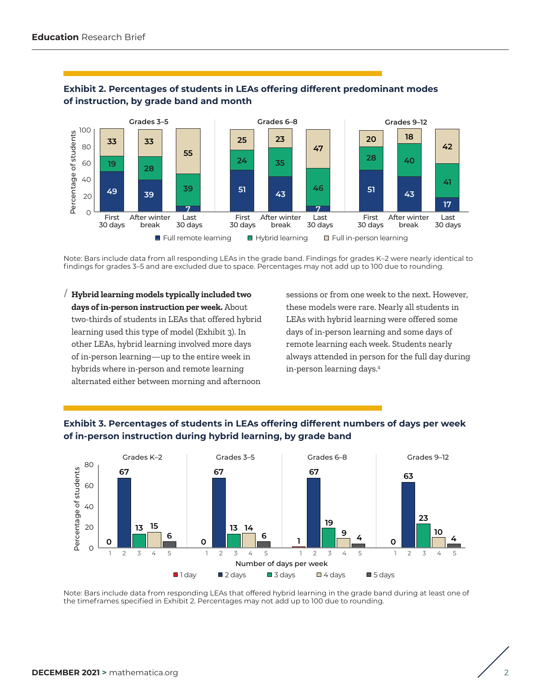

#### <span id="page-1-0"></span>**Exhibit 2. Percentages of students in LEAs offering different predominant modes of instruction, by grade band and month**

Note: Bars include data from all responding LEAs in the grade band. Findings for grades K–2 were nearly identical to findings for grades 3–5 and are excluded due to space. Percentages may not add up to 100 due to rounding.

/ **Hybrid learning models typically included two days of in-person instruction per week.** About two-thirds of students in LEAs that offered hybrid learning used this type of model (Exhibit 3). In other LEAs, hybrid learning involved more days of in-person learning—up to the entire week in hybrids where in-person and remote learning alternated either between morning and afternoon

sessions or from one week to the next. However, these models were rare. Nearly all students in LEAs with hybrid learning were offered some days of in-person learning and some days of remote learning each week. Students nearly always attended in person for the full day during in-person learning days.[4](#page-8-0)





Note: Bars include data from responding LEAs that offered hybrid learning in the grade band during at least one of the timeframes specified in Exhibit 2. Percentages may not add up to 100 due to rounding.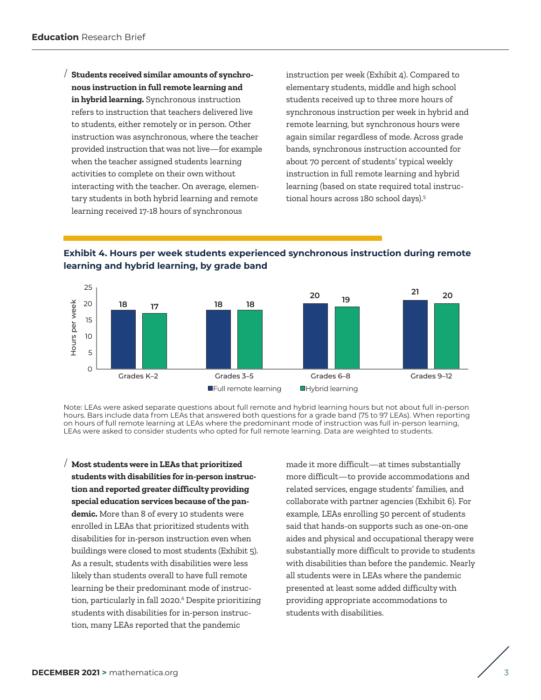<span id="page-2-0"></span>/ **Students received similar amounts of synchronous instruction in full remote learning and in hybrid learning.** Synchronous instruction refers to instruction that teachers delivered live to students, either remotely or in person. Other instruction was asynchronous, where the teacher provided instruction that was not live—for example when the teacher assigned students learning activities to complete on their own without interacting with the teacher. On average, elementary students in both hybrid learning and remote learning received 17-18 hours of synchronous

instruction per week (Exhibit 4). Compared to elementary students, middle and high school students received up to three more hours of synchronous instruction per week in hybrid and remote learning, but synchronous hours were again similar regardless of mode. Across grade bands, synchronous instruction accounted for about 70 percent of students' typical weekly instruction in full remote learning and hybrid learning (based on state required total instructional hours across 180 school days).<sup>5</sup>

**Exhibit 4. Hours per week students experienced synchronous instruction during remote learning and hybrid learning, by grade band**



Note: LEAs were asked separate questions about full remote and hybrid learning hours but not about full in-person hours. Bars include data from LEAs that answered both questions for a grade band (75 to 97 LEAs). When reporting on hours of full remote learning at LEAs where the predominant mode of instruction was full in-person learning, LEAs were asked to consider students who opted for full remote learning. Data are weighted to students.

/ **Most students were in LEAs that prioritized students with disabilities for in-person instruction and reported greater difficulty providing special education services because of the pandemic.** More than 8 of every 10 students were enrolled in LEAs that prioritized students with disabilities for in-person instruction even when buildings were closed to most students (Exhibit 5). As a result, students with disabilities were less likely than students overall to have full remote learning be their predominant mode of instruction, particularly in fall 2020[.6](#page-8-0) Despite prioritizing students with disabilities for in-person instruction, many LEAs reported that the pandemic

made it more difficult—at times substantially more difficult—to provide accommodations and related services, engage students' families, and collaborate with partner agencies (Exhibit 6). For example, LEAs enrolling 50 percent of students said that hands-on supports such as one-on-one aides and physical and occupational therapy were substantially more difficult to provide to students with disabilities than before the pandemic. Nearly all students were in LEAs where the pandemic presented at least some added difficulty with providing appropriate accommodations to students with disabilities.

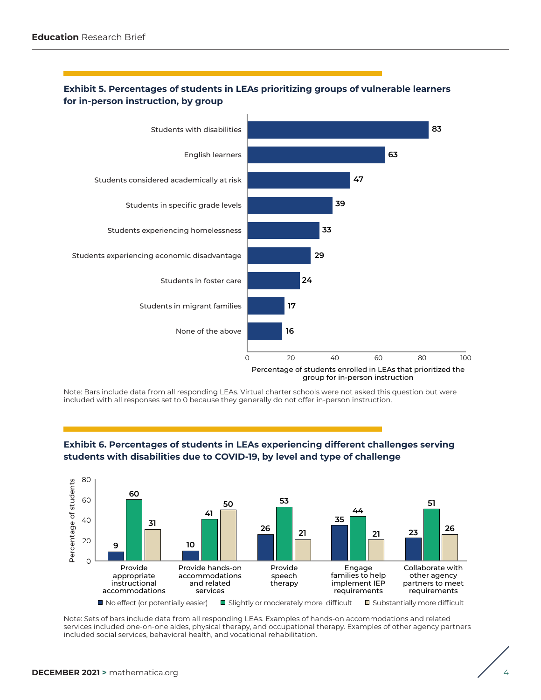

#### **Exhibit 5. Percentages of students in LEAs prioritizing groups of vulnerable learners for in-person instruction, by group**

Note: Bars include data from all responding LEAs. Virtual charter schools were not asked this question but were included with all responses set to 0 because they generally do not offer in-person instruction.





Note: Sets of bars include data from all responding LEAs. Examples of hands-on accommodations and related services included one-on-one aides, physical therapy, and occupational therapy. Examples of other agency partners included social services, behavioral health, and vocational rehabilitation.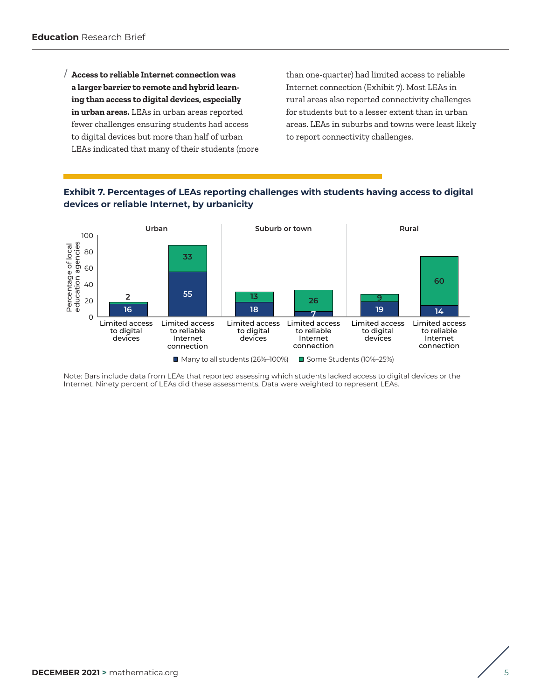/ **Access to reliable Internet connection was a larger barrier to remote and hybrid learning than access to digital devices, especially in urban areas.** LEAs in urban areas reported fewer challenges ensuring students had access to digital devices but more than half of urban LEAs indicated that many of their students (more than one-quarter) had limited access to reliable Internet connection (Exhibit 7). Most LEAs in rural areas also reported connectivity challenges for students but to a lesser extent than in urban areas. LEAs in suburbs and towns were least likely to report connectivity challenges.





Note: Bars include data from LEAs that reported assessing which students lacked access to digital devices or the Internet. Ninety percent of LEAs did these assessments. Data were weighted to represent LEAs.

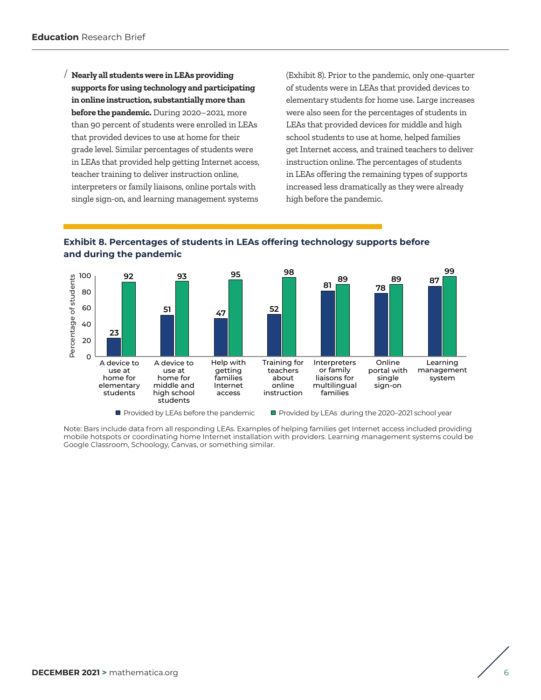/ **Nearly all students were in LEAs providing supports for using technology and participating in online instruction, substantially more than before the pandemic.** During 2020–2021, more than 90 percent of students were enrolled in LEAs that provided devices to use at home for their grade level. Similar percentages of students were in LEAs that provided help getting Internet access, teacher training to deliver instruction online, interpreters or family liaisons, online portals with single sign-on, and learning management systems

(Exhibit 8). Prior to the pandemic, only one-quarter of students were in LEAs that provided devices to elementary students for home use. Large increases were also seen for the percentages of students in LEAs that provided devices for middle and high school students to use at home, helped families get Internet access, and trained teachers to deliver instruction online. The percentages of students in LEAs offering the remaining types of supports increased less dramatically as they were already high before the pandemic.

#### **Exhibit 8. Percentages of students in LEAs offering technology supports before and during the pandemic**



Provided by LEAs before the pandemic

Provided by LEAs during the 2020-2021 school year

Note: Bars include data from all responding LEAs. Examples of helping families get Internet access included providing mobile hotspots or coordinating home Internet installation with providers. Learning management systems could be Google Classroom, Schoology, Canvas, or something similar.

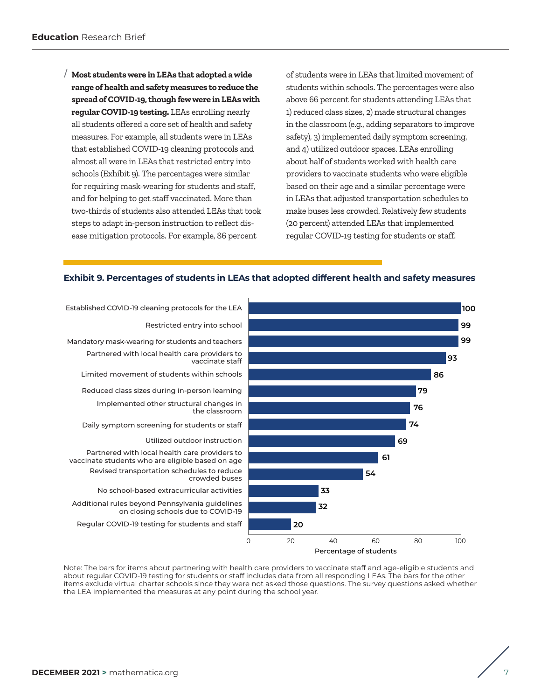/ **Most students were in LEAs that adopted a wide range of health and safety measures to reduce the spread of COVID-19, though few were in LEAs with regular COVID-19 testing.** LEAs enrolling nearly all students offered a core set of health and safety measures. For example, all students were in LEAs that established COVID-19 cleaning protocols and almost all were in LEAs that restricted entry into schools (Exhibit 9). The percentages were similar for requiring mask-wearing for students and staff, and for helping to get staff vaccinated. More than two-thirds of students also attended LEAs that took steps to adapt in-person instruction to reflect disease mitigation protocols. For example, 86 percent

of students were in LEAs that limited movement of students within schools. The percentages were also above 66 percent for students attending LEAs that 1) reduced class sizes, 2) made structural changes in the classroom (e.g., adding separators to improve safety), 3) implemented daily symptom screening, and 4) utilized outdoor spaces. LEAs enrolling about half of students worked with health care providers to vaccinate students who were eligible based on their age and a similar percentage were in LEAs that adjusted transportation schedules to make buses less crowded. Relatively few students (20 percent) attended LEAs that implemented regular COVID-19 testing for students or staff.





Note: The bars for items about partnering with health care providers to vaccinate staff and age-eligible students and about regular COVID-19 testing for students or staff includes data from all responding LEAs. The bars for the other items exclude virtual charter schools since they were not asked those questions. The survey questions asked whether the LEA implemented the measures at any point during the school year.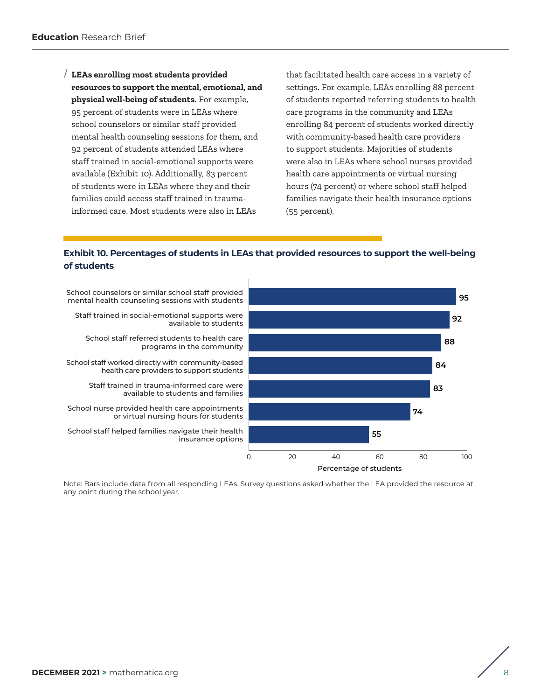/ **LEAs enrolling most students provided resources to support the mental, emotional, and physical well-being of students.** For example, 95 percent of students were in LEAs where school counselors or similar staff provided mental health counseling sessions for them, and 92 percent of students attended LEAs where staff trained in social-emotional supports were available (Exhibit 10). Additionally, 83 percent of students were in LEAs where they and their families could access staff trained in traumainformed care. Most students were also in LEAs

that facilitated health care access in a variety of settings. For example, LEAs enrolling 88 percent of students reported referring students to health care programs in the community and LEAs enrolling 84 percent of students worked directly with community-based health care providers to support students. Majorities of students were also in LEAs where school nurses provided health care appointments or virtual nursing hours (74 percent) or where school staff helped families navigate their health insurance options (55 percent).

### **Exhibit 10. Percentages of students in LEAs that provided resources to support the well-being of students**



Note: Bars include data from all responding LEAs. Survey questions asked whether the LEA provided the resource at any point during the school year.